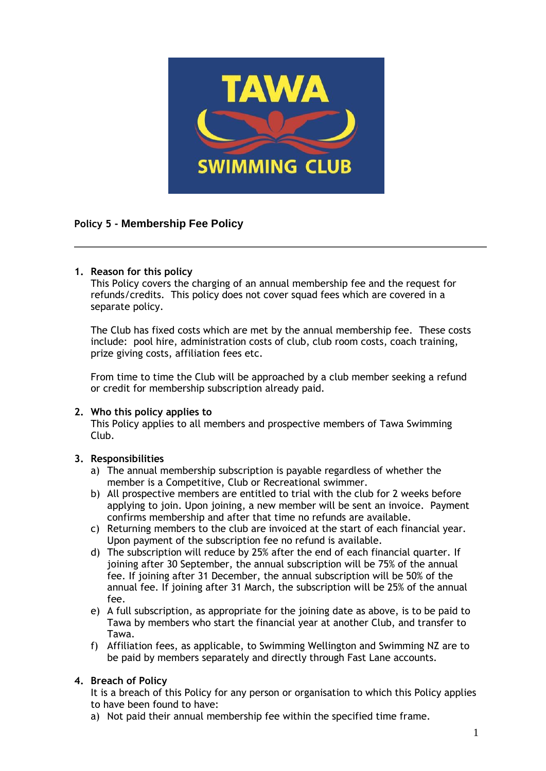

# **Policy 5 - Membership Fee Policy**

## **1. Reason for this policy**

This Policy covers the charging of an annual membership fee and the request for refunds/credits. This policy does not cover squad fees which are covered in a separate policy.

The Club has fixed costs which are met by the annual membership fee. These costs include: pool hire, administration costs of club, club room costs, coach training, prize giving costs, affiliation fees etc.

From time to time the Club will be approached by a club member seeking a refund or credit for membership subscription already paid.

#### **2. Who this policy applies to**

This Policy applies to all members and prospective members of Tawa Swimming Club.

#### **3. Responsibilities**

- a) The annual membership subscription is payable regardless of whether the member is a Competitive, Club or Recreational swimmer.
- b) All prospective members are entitled to trial with the club for 2 weeks before applying to join. Upon joining, a new member will be sent an invoice. Payment confirms membership and after that time no refunds are available.
- c) Returning members to the club are invoiced at the start of each financial year. Upon payment of the subscription fee no refund is available.
- d) The subscription will reduce by 25% after the end of each financial quarter. If joining after 30 September, the annual subscription will be 75% of the annual fee. If joining after 31 December, the annual subscription will be 50% of the annual fee. If joining after 31 March, the subscription will be 25% of the annual fee.
- e) A full subscription, as appropriate for the joining date as above, is to be paid to Tawa by members who start the financial year at another Club, and transfer to Tawa.
- f) Affiliation fees, as applicable, to Swimming Wellington and Swimming NZ are to be paid by members separately and directly through Fast Lane accounts.

#### **4. Breach of Policy**

It is a breach of this Policy for any person or organisation to which this Policy applies to have been found to have:

a) Not paid their annual membership fee within the specified time frame.